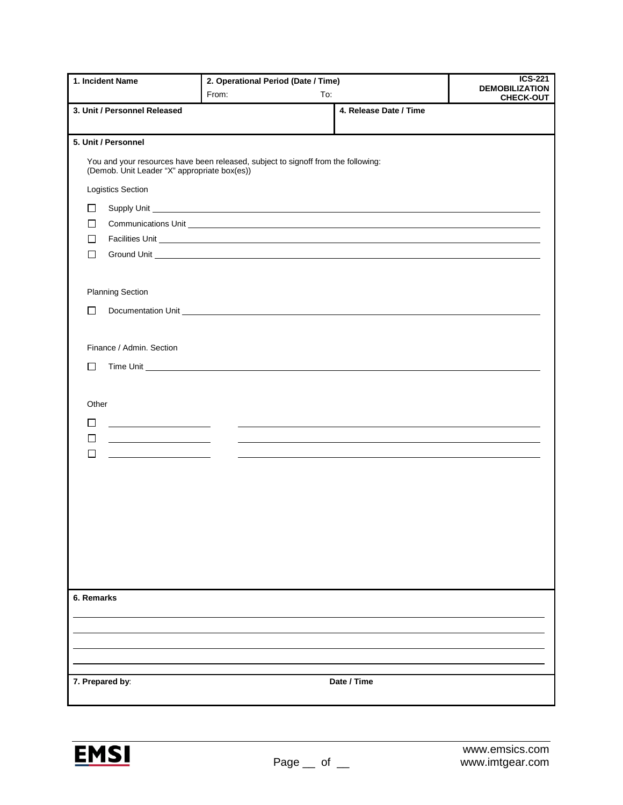|                                              | From:<br>To:                                                                                                                                                                                                                   |                        | <b>DEMOBILIZATION</b> |  |
|----------------------------------------------|--------------------------------------------------------------------------------------------------------------------------------------------------------------------------------------------------------------------------------|------------------------|-----------------------|--|
| 3. Unit / Personnel Released                 |                                                                                                                                                                                                                                | 4. Release Date / Time | <b>CHECK-OUT</b>      |  |
|                                              |                                                                                                                                                                                                                                |                        |                       |  |
| 5. Unit / Personnel                          |                                                                                                                                                                                                                                |                        |                       |  |
| (Demob. Unit Leader "X" appropriate box(es)) | You and your resources have been released, subject to signoff from the following:                                                                                                                                              |                        |                       |  |
| Logistics Section                            |                                                                                                                                                                                                                                |                        |                       |  |
| $\Box$                                       |                                                                                                                                                                                                                                |                        |                       |  |
| $\Box$                                       | Communications Unit Leader and Communications of the Communications of the Communications of the Communications of the Communications of the Communications of the Communications of the Communications of the Communications  |                        |                       |  |
| П                                            |                                                                                                                                                                                                                                |                        |                       |  |
| П                                            |                                                                                                                                                                                                                                |                        |                       |  |
|                                              |                                                                                                                                                                                                                                |                        |                       |  |
| <b>Planning Section</b>                      |                                                                                                                                                                                                                                |                        |                       |  |
| П                                            | Documentation Unit experience and the contract of the contract of the contract of the contract of the contract of the contract of the contract of the contract of the contract of the contract of the contract of the contract |                        |                       |  |
|                                              |                                                                                                                                                                                                                                |                        |                       |  |
| Finance / Admin. Section                     |                                                                                                                                                                                                                                |                        |                       |  |
| $\Box$                                       |                                                                                                                                                                                                                                |                        |                       |  |
|                                              |                                                                                                                                                                                                                                |                        |                       |  |
|                                              |                                                                                                                                                                                                                                |                        |                       |  |
| Other                                        |                                                                                                                                                                                                                                |                        |                       |  |
| □                                            |                                                                                                                                                                                                                                |                        |                       |  |
| $\Box$<br>П                                  |                                                                                                                                                                                                                                |                        |                       |  |
|                                              |                                                                                                                                                                                                                                |                        |                       |  |
|                                              |                                                                                                                                                                                                                                |                        |                       |  |
|                                              |                                                                                                                                                                                                                                |                        |                       |  |
|                                              |                                                                                                                                                                                                                                |                        |                       |  |
|                                              |                                                                                                                                                                                                                                |                        |                       |  |
|                                              |                                                                                                                                                                                                                                |                        |                       |  |
|                                              |                                                                                                                                                                                                                                |                        |                       |  |
|                                              |                                                                                                                                                                                                                                |                        |                       |  |
| 6. Remarks                                   |                                                                                                                                                                                                                                |                        |                       |  |
|                                              |                                                                                                                                                                                                                                |                        |                       |  |
|                                              |                                                                                                                                                                                                                                |                        |                       |  |
|                                              |                                                                                                                                                                                                                                |                        |                       |  |
|                                              |                                                                                                                                                                                                                                |                        |                       |  |
| 7. Prepared by:                              |                                                                                                                                                                                                                                | Date / Time            |                       |  |